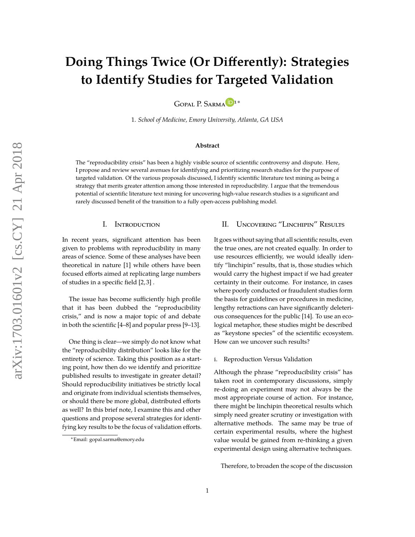# **Doing Things Twice (Or Differently): Strategies to Identify Studies for Targeted Validation**

GOPAL P. SARMA<sup>D[1](http://orcid.org/#1)\*</sup>

1. *School of Medicine, Emory University, Atlanta, GA USA*

#### **Abstract**

The "reproducibility crisis" has been a highly visible source of scientific controversy and dispute. Here, I propose and review several avenues for identifying and prioritizing research studies for the purpose of targeted validation. Of the various proposals discussed, I identify scientific literature text mining as being a strategy that merits greater attention among those interested in reproducibility. I argue that the tremendous potential of scientific literature text mining for uncovering high-value research studies is a significant and rarely discussed benefit of the transition to a fully open-access publishing model.

## I. Introduction

In recent years, significant attention has been given to problems with reproducibility in many areas of science. Some of these analyses have been theoretical in nature [\[1\]](#page-2-0) while others have been focused efforts aimed at replicating large numbers of studies in a specific field [\[2,](#page-2-1) [3\]](#page-2-2) .

The issue has become sufficiently high profile that it has been dubbed the "reproducibility crisis," and is now a major topic of and debate in both the scientific [\[4–](#page-2-3)[8\]](#page-2-4) and popular press [\[9–](#page-2-5)[13\]](#page-3-0).

One thing is clear—we simply do not know what the "reproducibility distribution" looks like for the entirety of science. Taking this position as a starting point, how then do we identify and prioritize published results to investigate in greater detail? Should reproducibility initiatives be strictly local and originate from individual scientists themselves, or should there be more global, distributed efforts as well? In this brief note, I examine this and other questions and propose several strategies for identifying key results to be the focus of validation efforts.

## II. Uncovering "Linchipin" Results

It goes without saying that all scientific results, even the true ones, are not created equally. In order to use resources efficiently, we would ideally identify "linchipin" results, that is, those studies which would carry the highest impact if we had greater certainty in their outcome. For instance, in cases where poorly conducted or fraudulent studies form the basis for guidelines or procedures in medicine, lengthy retractions can have significantly deleterious consequences for the public [\[14\]](#page-3-1). To use an ecological metaphor, these studies might be described as "keystone species" of the scientific ecosystem. How can we uncover such results?

i. Reproduction Versus Validation

Although the phrase "reproducibility crisis" has taken root in contemporary discussions, simply re-doing an experiment may not always be the most appropriate course of action. For instance, there might be linchipin theoretical results which simply need greater scrutiny or investigation with alternative methods. The same may be true of certain experimental results, where the highest value would be gained from re-thinking a given experimental design using alternative techniques.

Therefore, to broaden the scope of the discussion

<sup>∗</sup>Email: gopal.sarma@emory.edu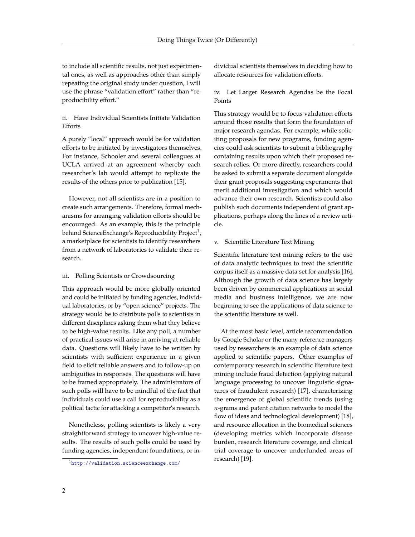to include all scientific results, not just experimental ones, as well as approaches other than simply repeating the original study under question, I will use the phrase "validation effort" rather than "reproducibility effort."

## ii. Have Individual Scientists Initiate Validation Efforts

A purely "local" approach would be for validation efforts to be initiated by investigators themselves. For instance, Schooler and several colleagues at UCLA arrived at an agreement whereby each researcher's lab would attempt to replicate the results of the others prior to publication [\[15\]](#page-3-2).

However, not all scientists are in a position to create such arrangements. Therefore, formal mechanisms for arranging validation efforts should be encouraged. As an example, this is the principle behind ScienceExchange's Reproducibility Project $^1$  $^1$ , a marketplace for scientists to identify researchers from a network of laboratories to validate their research.

#### iii. Polling Scientists or Crowdsourcing

This approach would be more globally oriented and could be initiated by funding agencies, individual laboratories, or by "open science" projects. The strategy would be to distribute polls to scientists in different disciplines asking them what they believe to be high-value results. Like any poll, a number of practical issues will arise in arriving at reliable data. Questions will likely have to be written by scientists with sufficient experience in a given field to elicit reliable answers and to follow-up on ambiguities in responses. The questions will have to be framed appropriately. The administrators of such polls will have to be mindful of the fact that individuals could use a call for reproducibility as a political tactic for attacking a competitor's research.

Nonetheless, polling scientists is likely a very straightforward strategy to uncover high-value results. The results of such polls could be used by funding agencies, independent foundations, or individual scientists themselves in deciding how to allocate resources for validation efforts.

iv. Let Larger Research Agendas be the Focal Points

This strategy would be to focus validation efforts around those results that form the foundation of major research agendas. For example, while soliciting proposals for new programs, funding agencies could ask scientists to submit a bibliography containing results upon which their proposed research relies. Or more directly, researchers could be asked to submit a separate document alongside their grant proposals suggesting experiments that merit additional investigation and which would advance their own research. Scientists could also publish such documents independent of grant applications, perhaps along the lines of a review article.

#### v. Scientific Literature Text Mining

Scientific literature text mining refers to the use of data analytic techniques to treat the scientific corpus itself as a massive data set for analysis [\[16\]](#page-3-3). Although the growth of data science has largely been driven by commercial applications in social media and business intelligence, we are now beginning to see the applications of data science to the scientific literature as well.

At the most basic level, article recommendation by Google Scholar or the many reference managers used by researchers is an example of data science applied to scientific papers. Other examples of contemporary research in scientific literature text mining include fraud detection (applying natural language processing to uncover linguistic signatures of fraudulent research) [\[17\]](#page-3-4), characterizing the emergence of global scientific trends (using *n*-grams and patent citation networks to model the flow of ideas and technological development) [\[18\]](#page-3-5), and resource allocation in the biomedical sciences (developing metrics which incorporate disease burden, research literature coverage, and clinical trial coverage to uncover underfunded areas of research) [\[19\]](#page-3-6).

<span id="page-1-0"></span><sup>1</sup><http://validation.scienceexchange.com/>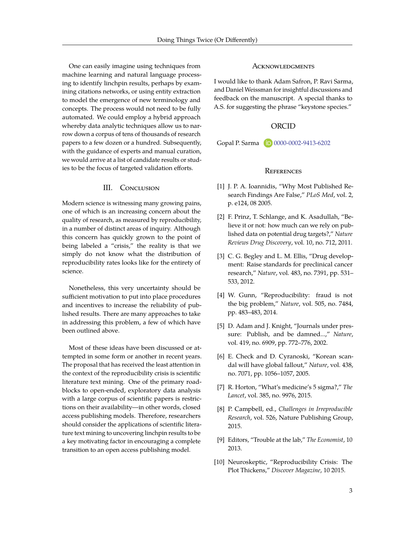One can easily imagine using techniques from machine learning and natural language processing to identify linchpin results, perhaps by examining citations networks, or using entity extraction to model the emergence of new terminology and concepts. The process would not need to be fully automated. We could employ a hybrid approach whereby data analytic techniques allow us to narrow down a corpus of tens of thousands of research papers to a few dozen or a hundred. Subsequently, with the guidance of experts and manual curation, we would arrive at a list of candidate results or studies to be the focus of targeted validation efforts.

#### III. CONCLUSION

Modern science is witnessing many growing pains, one of which is an increasing concern about the quality of research, as measured by reproducibility, in a number of distinct areas of inquiry. Although this concern has quickly grown to the point of being labeled a "crisis," the reality is that we simply do not know what the distribution of reproducibility rates looks like for the entirety of science.

Nonetheless, this very uncertainty should be sufficient motivation to put into place procedures and incentives to increase the reliability of published results. There are many approaches to take in addressing this problem, a few of which have been outlined above.

Most of these ideas have been discussed or attempted in some form or another in recent years. The proposal that has received the least attention in the context of the reproducibility crisis is scientific literature text mining. One of the primary roadblocks to open-ended, exploratory data analysis with a large corpus of scientific papers is restrictions on their availability—in other words, closed access publishing models. Therefore, researchers should consider the applications of scientific literature text mining to uncovering linchpin results to be a key motivating factor in encouraging a complete transition to an open access publishing model.

#### **ACKNOWLEDGMENTS**

I would like to thank Adam Safron, P. Ravi Sarma, and Daniel Weissman for insightful discussions and feedback on the manuscript. A special thanks to A.S. for suggesting the phrase "keystone species."

## ORCID

Gopal P. Sarma **D** [0000-0002-9413-6202](http://orcid.org/0000-0002-9413-6202)

# **REFERENCES**

- <span id="page-2-0"></span>[1] J. P. A. Ioannidis, "Why Most Published Research Findings Are False," *PLoS Med*, vol. 2, p. e124, 08 2005.
- <span id="page-2-1"></span>[2] F. Prinz, T. Schlange, and K. Asadullah, "Believe it or not: how much can we rely on published data on potential drug targets?," *Nature Reviews Drug Discovery*, vol. 10, no. 712, 2011.
- <span id="page-2-2"></span>[3] C. G. Begley and L. M. Ellis, "Drug development: Raise standards for preclinical cancer research," *Nature*, vol. 483, no. 7391, pp. 531– 533, 2012.
- <span id="page-2-3"></span>[4] W. Gunn, "Reproducibility: fraud is not the big problem," *Nature*, vol. 505, no. 7484, pp. 483–483, 2014.
- [5] D. Adam and J. Knight, "Journals under pressure: Publish, and be damned...," *Nature*, vol. 419, no. 6909, pp. 772–776, 2002.
- [6] E. Check and D. Cyranoski, "Korean scandal will have global fallout," *Nature*, vol. 438, no. 7071, pp. 1056–1057, 2005.
- [7] R. Horton, "What's medicine's 5 sigma?," *The Lancet*, vol. 385, no. 9976, 2015.
- <span id="page-2-4"></span>[8] P. Campbell, ed., *Challenges in Irreproducible Research*, vol. 526, Nature Publishing Group, 2015.
- <span id="page-2-5"></span>[9] Editors, "Trouble at the lab," *The Economist*, 10 2013.
- [10] Neuroskeptic, "Reproducibility Crisis: The Plot Thickens," *Discover Magazine*, 10 2015.